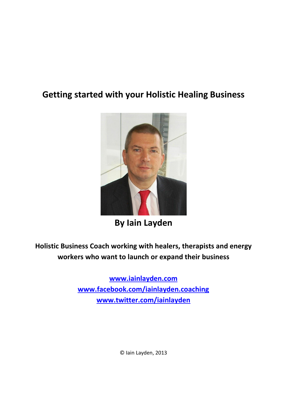# **Getting started with your Holistic Healing Business**



**By Iain Layden**

**Holistic Business Coach working with healers, therapists and energy workers who want to launch or expand their business**

> **[www.iainlayden.com](http://www.iainlayden.com/) [www.facebook.com/iainlayden.coaching](http://www.facebook.com/iainlayden.coaching) [www.twitter.com/iainlayden](http://www.twitter.com/iainlayden)**

> > © Iain Layden, 2013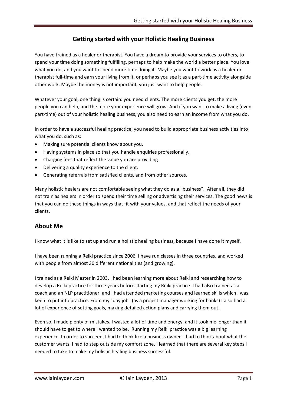### **Getting started with your Holistic Healing Business**

You have trained as a healer or therapist. You have a dream to provide your services to others, to spend your time doing something fulfilling, perhaps to help make the world a better place. You love what you do, and you want to spend more time doing it. Maybe you want to work as a healer or therapist full-time and earn your living from it, or perhaps you see it as a part-time activity alongside other work. Maybe the money is not important, you just want to help people.

Whatever your goal, one thing is certain: you need clients. The more clients you get, the more people you can help, and the more your experience will grow. And if you want to make a living (even part-time) out of your holistic healing business, you also need to earn an income from what you do.

In order to have a successful healing practice, you need to build appropriate business activities into what you do, such as:

- Making sure potential clients know about you.
- Having systems in place so that you handle enquiries professionally.
- Charging fees that reflect the value you are providing.
- Delivering a quality experience to the client.
- Generating referrals from satisfied clients, and from other sources.

Many holistic healers are not comfortable seeing what they do as a "business". After all, they did not train as healers in order to spend their time selling or advertising their services. The good news is that you can do these things in ways that fit with your values, and that reflect the needs of your clients.

#### **About Me**

I know what it is like to set up and run a holistic healing business, because I have done it myself.

I have been running a Reiki practice since 2006. I have run classes in three countries, and worked with people from almost 30 different nationalities (and growing).

I trained as a Reiki Master in 2003. I had been learning more about Reiki and researching how to develop a Reiki practice for three years before starting my Reiki practice. I had also trained as a coach and an NLP practitioner, and I had attended marketing courses and learned skills which I was keen to put into practice. From my "day job" (as a project manager working for banks) I also had a lot of experience of setting goals, making detailed action plans and carrying them out.

Even so, I made plenty of mistakes. I wasted a lot of time and energy, and it took me longer than it should have to get to where I wanted to be. Running my Reiki practice was a big learning experience. In order to succeed, I had to think like a business owner. I had to think about what the customer wants. I had to step outside my comfort zone. I learned that there are several key steps I needed to take to make my holistic healing business successful.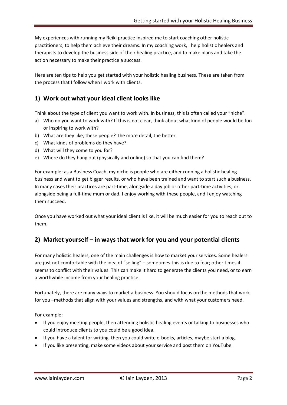My experiences with running my Reiki practice inspired me to start coaching other holistic practitioners, to help them achieve their dreams. In my coaching work, I help holistic healers and therapists to develop the business side of their healing practice, and to make plans and take the action necessary to make their practice a success.

Here are ten tips to help you get started with your holistic healing business. These are taken from the process that I follow when I work with clients.

# **1) Work out what your ideal client looks like**

Think about the type of client you want to work with. In business, this is often called your "niche".

- a) Who do you want to work with? If this is not clear, think about what kind of people would be fun or inspiring to work with?
- b) What are they like, these people? The more detail, the better.
- c) What kinds of problems do they have?
- d) What will they come to you for?
- e) Where do they hang out (physically and online) so that you can find them?

For example: as a Business Coach, my niche is people who are either running a holistic healing business and want to get bigger results, or who have been trained and want to start such a business. In many cases their practices are part-time, alongside a day job or other part-time activities, or alongside being a full-time mum or dad. I enjoy working with these people, and I enjoy watching them succeed.

Once you have worked out what your ideal client is like, it will be much easier for you to reach out to them.

# **2) Market yourself – in ways that work for you and your potential clients**

For many holistic healers, one of the main challenges is how to market your services. Some healers are just not comfortable with the idea of "selling" – sometimes this is due to fear; other times it seems to conflict with their values. This can make it hard to generate the clients you need, or to earn a worthwhile income from your healing practice.

Fortunately, there are many ways to market a business. You should focus on the methods that work for you –methods that align with your values and strengths, and with what your customers need.

For example:

- If you enjoy meeting people, then attending holistic healing events or talking to businesses who could introduce clients to you could be a good idea.
- If you have a talent for writing, then you could write e-books, articles, maybe start a blog.
- If you like presenting, make some videos about your service and post them on YouTube.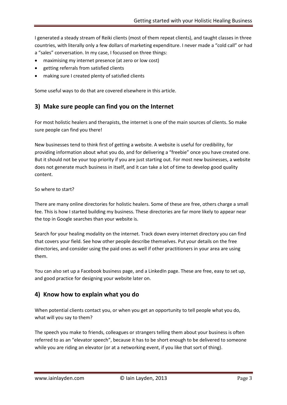I generated a steady stream of Reiki clients (most of them repeat clients), and taught classes in three countries, with literally only a few dollars of marketing expenditure. I never made a "cold call" or had a "sales" conversation. In my case, I focussed on three things:

- maximising my internet presence (at zero or low cost)
- getting referrals from satisfied clients
- making sure I created plenty of satisfied clients

Some useful ways to do that are covered elsewhere in this article.

#### **3) Make sure people can find you on the Internet**

For most holistic healers and therapists, the internet is one of the main sources of clients. So make sure people can find you there!

New businesses tend to think first of getting a website. A website is useful for credibility, for providing information about what you do, and for delivering a "freebie" once you have created one. But it should not be your top priority if you are just starting out. For most new businesses, a website does not generate much business in itself, and it can take a lot of time to develop good quality content.

#### So where to start?

There are many online directories for holistic healers. Some of these are free, others charge a small fee. This is how I started building my business. These directories are far more likely to appear near the top in Google searches than your website is.

Search for your healing modality on the internet. Track down every internet directory you can find that covers your field. See how other people describe themselves. Put your details on the free directories, and consider using the paid ones as well if other practitioners in your area are using them.

You can also set up a Facebook business page, and a LinkedIn page. These are free, easy to set up, and good practice for designing your website later on.

#### **4) Know how to explain what you do**

When potential clients contact you, or when you get an opportunity to tell people what you do, what will you say to them?

The speech you make to friends, colleagues or strangers telling them about your business is often referred to as an "elevator speech", because it has to be short enough to be delivered to someone while you are riding an elevator (or at a networking event, if you like that sort of thing).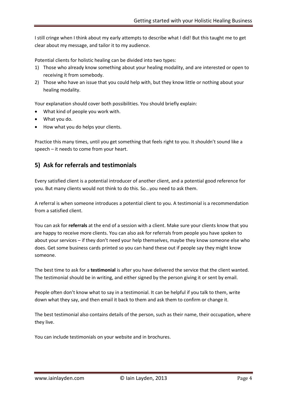I still cringe when I think about my early attempts to describe what I did! But this taught me to get clear about my message, and tailor it to my audience.

Potential clients for holistic healing can be divided into two types:

- 1) Those who already know something about your healing modality, and are interested or open to receiving it from somebody.
- 2) Those who have an issue that you could help with, but they know little or nothing about your healing modality.

Your explanation should cover both possibilities. You should briefly explain:

- What kind of people you work with.
- What you do.
- How what you do helps your clients.

Practice this many times, until you get something that feels right to you. It shouldn't sound like a speech – it needs to come from your heart.

#### **5) Ask for referrals and testimonials**

Every satisfied client is a potential introducer of another client, and a potential good reference for you. But many clients would not think to do this. So...you need to ask them.

A referral is when someone introduces a potential client to you. A testimonial is a recommendation from a satisfied client.

You can ask for **referrals** at the end of a session with a client. Make sure your clients know that you are happy to receive more clients. You can also ask for referrals from people you have spoken to about your services – if they don't need your help themselves, maybe they know someone else who does. Get some business cards printed so you can hand these out if people say they might know someone.

The best time to ask for a **testimonial** is after you have delivered the service that the client wanted. The testimonial should be in writing, and either signed by the person giving it or sent by email.

People often don't know what to say in a testimonial. It can be helpful if you talk to them, write down what they say, and then email it back to them and ask them to confirm or change it.

The best testimonial also contains details of the person, such as their name, their occupation, where they live.

You can include testimonials on your website and in brochures.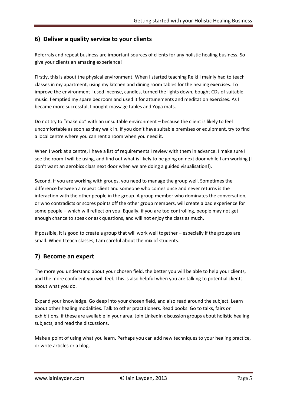# **6) Deliver a quality service to your clients**

Referrals and repeat business are important sources of clients for any holistic healing business. So give your clients an amazing experience!

Firstly, this is about the physical environment. When I started teaching Reiki I mainly had to teach classes in my apartment, using my kitchen and dining room tables for the healing exercises. To improve the environment I used incense, candles, turned the lights down, bought CDs of suitable music. I emptied my spare bedroom and used it for attunements and meditation exercises. As I became more successful, I bought massage tables and Yoga mats.

Do not try to "make do" with an unsuitable environment – because the client is likely to feel uncomfortable as soon as they walk in. If you don't have suitable premises or equipment, try to find a local centre where you can rent a room when you need it.

When I work at a centre, I have a list of requirements I review with them in advance. I make sure I see the room I will be using, and find out what is likely to be going on next door while I am working (I don't want an aerobics class next door when we are doing a guided visualisation!).

Second, if you are working with groups, you need to manage the group well. Sometimes the difference between a repeat client and someone who comes once and never returns is the interaction with the other people in the group. A group member who dominates the conversation, or who contradicts or scores points off the other group members, will create a bad experience for some people – which will reflect on you. Equally, if you are too controlling, people may not get enough chance to speak or ask questions, and will not enjoy the class as much.

If possible, it is good to create a group that will work well together – especially if the groups are small. When I teach classes, I am careful about the mix of students.

# **7) Become an expert**

The more you understand about your chosen field, the better you will be able to help your clients, and the more confident you will feel. This is also helpful when you are talking to potential clients about what you do.

Expand your knowledge. Go deep into your chosen field, and also read around the subject. Learn about other healing modalities. Talk to other practitioners. Read books. Go to talks, fairs or exhibitions, if these are available in your area. Join LinkedIn discussion groups about holistic healing subjects, and read the discussions.

Make a point of using what you learn. Perhaps you can add new techniques to your healing practice, or write articles or a blog.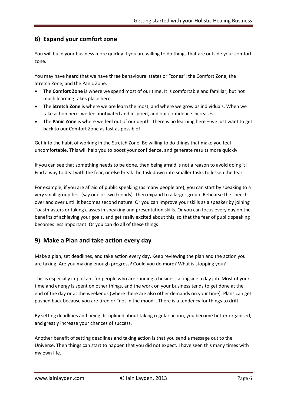# **8) Expand your comfort zone**

You will build your business more quickly if you are willing to do things that are outside your comfort zone.

You may have heard that we have three behavioural states or "zones": the Comfort Zone, the Stretch Zone, and the Panic Zone.

- The **Comfort Zone** is where we spend most of our time. It is comfortable and familiar, but not much learning takes place here.
- The **Stretch Zone** is where we are learn the most, and where we grow as individuals. When we take action here, we feel motivated and inspired, and our confidence increases.
- The **Panic Zone** is where we feel out of our depth. There is no learning here we just want to get back to our Comfort Zone as fast as possible!

Get into the habit of working in the Stretch Zone. Be willing to do things that make you feel uncomfortable. This will help you to boost your confidence, and generate results more quickly.

If you can see that something needs to be done, then being afraid is not a reason to avoid doing it! Find a way to deal with the fear, or else break the task down into smaller tasks to lessen the fear.

For example, if you are afraid of public speaking (as many people are), you can start by speaking to a very small group first (say one or two friends). Then expand to a larger group. Rehearse the speech over and over until it becomes second nature. Or you can improve your skills as a speaker by joining Toastmasters or taking classes in speaking and presentation skills. Or you can focus every day on the benefits of achieving your goals, and get really excited about this, so that the fear of public speaking becomes less important. Or you can do all of these things!

# **9) Make a Plan and take action every day**

Make a plan, set deadlines, and take action every day. Keep reviewing the plan and the action you are taking. Are you making enough progress? Could you do more? What is stopping you?

This is especially important for people who are running a business alongside a day job. Most of your time and energy is spent on other things, and the work on your business tends to get done at the end of the day or at the weekends (where there are also other demands on your time). Plans can get pushed back because you are tired or "not in the mood". There is a tendency for things to drift.

By setting deadlines and being disciplined about taking regular action, you become better organised, and greatly increase your chances of success.

Another benefit of setting deadlines and taking action is that you send a message out to the Universe. Then things can start to happen that you did not expect. I have seen this many times with my own life.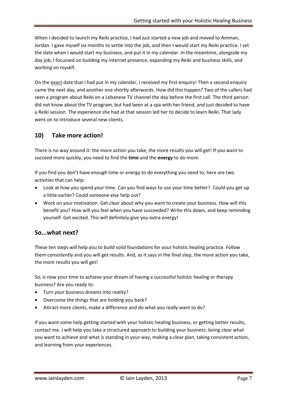When I decided to launch my Reiki practice, I had just started a new job and moved to Amman, Jordan. I gave myself six months to settle into the job, and then I would start my Reiki practice. I set the date when I would start my business, and put it in my calendar. In the meantime, alongside my day job, I focussed on building my internet presence, expanding my Reiki and business skills, and working on myself.

On the exact date that I had put in my calendar, I received my first enquiry! Then a second enquiry came the next day, and another one shortly afterwards. How did this happen? Two of the callers had seen a program about Reiki on a Lebanese TV channel the day before the first call. The third person did not know about the TV program, but had been at a spa with her friend, and just decided to have a Reiki session. The experience she had at that session led her to decide to learn Reiki. That lady went on to introduce several new clients.

#### **10) Take more action!**

There is no way around it: the more action you take, the more results you will get! If you want to succeed more quickly, you need to find the **time** and the **energy** to do more.

If you find you don't have enough time or energy to do everything you need to, here are two activities that can help:

- Look at how you spend your time. Can you find ways to use your time better? Could you get up a little earlier? Could someone else help out?
- Work on your motivation. Get clear about why you want to create your business. How will this benefit you? How will you feel when you have succeeded? Write this down, and keep reminding yourself. Get excited. This will definitely give you extra energy!

#### **So...what next?**

These ten steps will help you to build solid foundations for your holistic healing practice. Follow them consistently and you will get results. And, as it says in the final step, the more action you take, the more results you will get!

So, is now your time to achieve your dream of having a successful holistic healing or therapy business? Are you ready to:

- Turn your business dreams into reality?
- Overcome the things that are holding you back?
- Attract more clients, make a difference and do what you really want to do?

If you want some help getting started with your holistic healing business, or getting better results, contact me. I will help you take a structured approach to building your business: being clear what you want to achieve and what is standing in your way, making a clear plan, taking consistent action, and learning from your experiences.